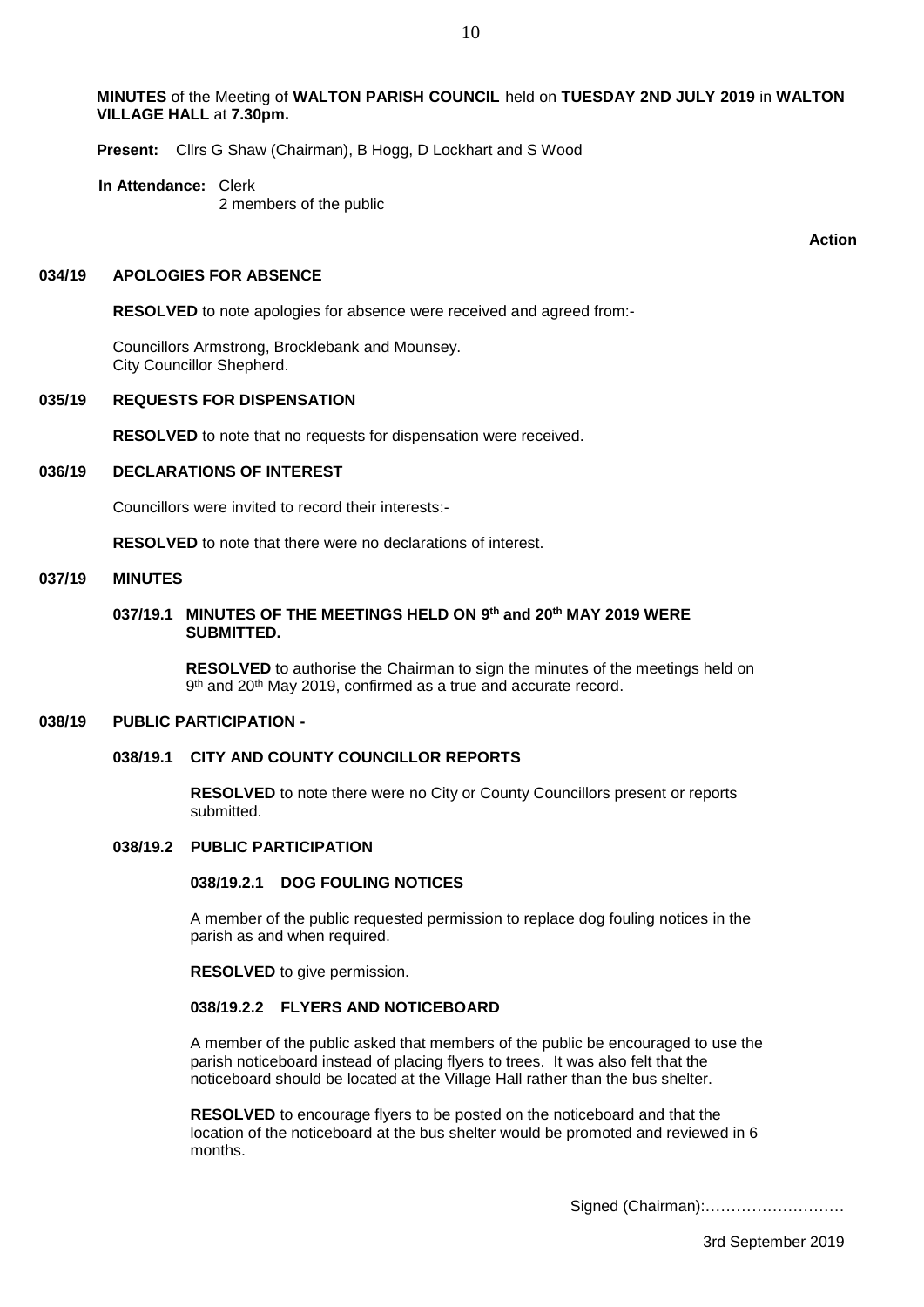**MINUTES** of the Meeting of **WALTON PARISH COUNCIL** held on **TUESDAY 2ND JULY 2019** in **WALTON VILLAGE HALL** at **7.30pm.**

**Present:** Cllrs G Shaw (Chairman), B Hogg, D Lockhart and S Wood

**In Attendance:** Clerk 2 members of the public

**Action**

#### **034/19 APOLOGIES FOR ABSENCE**

**RESOLVED** to note apologies for absence were received and agreed from:-

Councillors Armstrong, Brocklebank and Mounsey. City Councillor Shepherd.

#### **035/19 REQUESTS FOR DISPENSATION**

**RESOLVED** to note that no requests for dispensation were received.

# **036/19 DECLARATIONS OF INTEREST**

Councillors were invited to record their interests:-

**RESOLVED** to note that there were no declarations of interest.

#### **037/19 MINUTES**

### **037/19.1 MINUTES OF THE MEETINGS HELD ON 9 th and 20th MAY 2019 WERE SUBMITTED.**

 **RESOLVED** to authorise the Chairman to sign the minutes of the meetings held on 9<sup>th</sup> and 20<sup>th</sup> May 2019, confirmed as a true and accurate record.

#### **038/19 PUBLIC PARTICIPATION -**

# **038/19.1 CITY AND COUNTY COUNCILLOR REPORTS**

 **RESOLVED** to note there were no City or County Councillors present or reports submitted.

### **038/19.2 PUBLIC PARTICIPATION**

## **038/19.2.1 DOG FOULING NOTICES**

A member of the public requested permission to replace dog fouling notices in the parish as and when required.

**RESOLVED** to give permission.

### **038/19.2.2 FLYERS AND NOTICEBOARD**

A member of the public asked that members of the public be encouraged to use the parish noticeboard instead of placing flyers to trees. It was also felt that the noticeboard should be located at the Village Hall rather than the bus shelter.

 **RESOLVED** to encourage flyers to be posted on the noticeboard and that the location of the noticeboard at the bus shelter would be promoted and reviewed in 6 months.

Signed (Chairman):………………………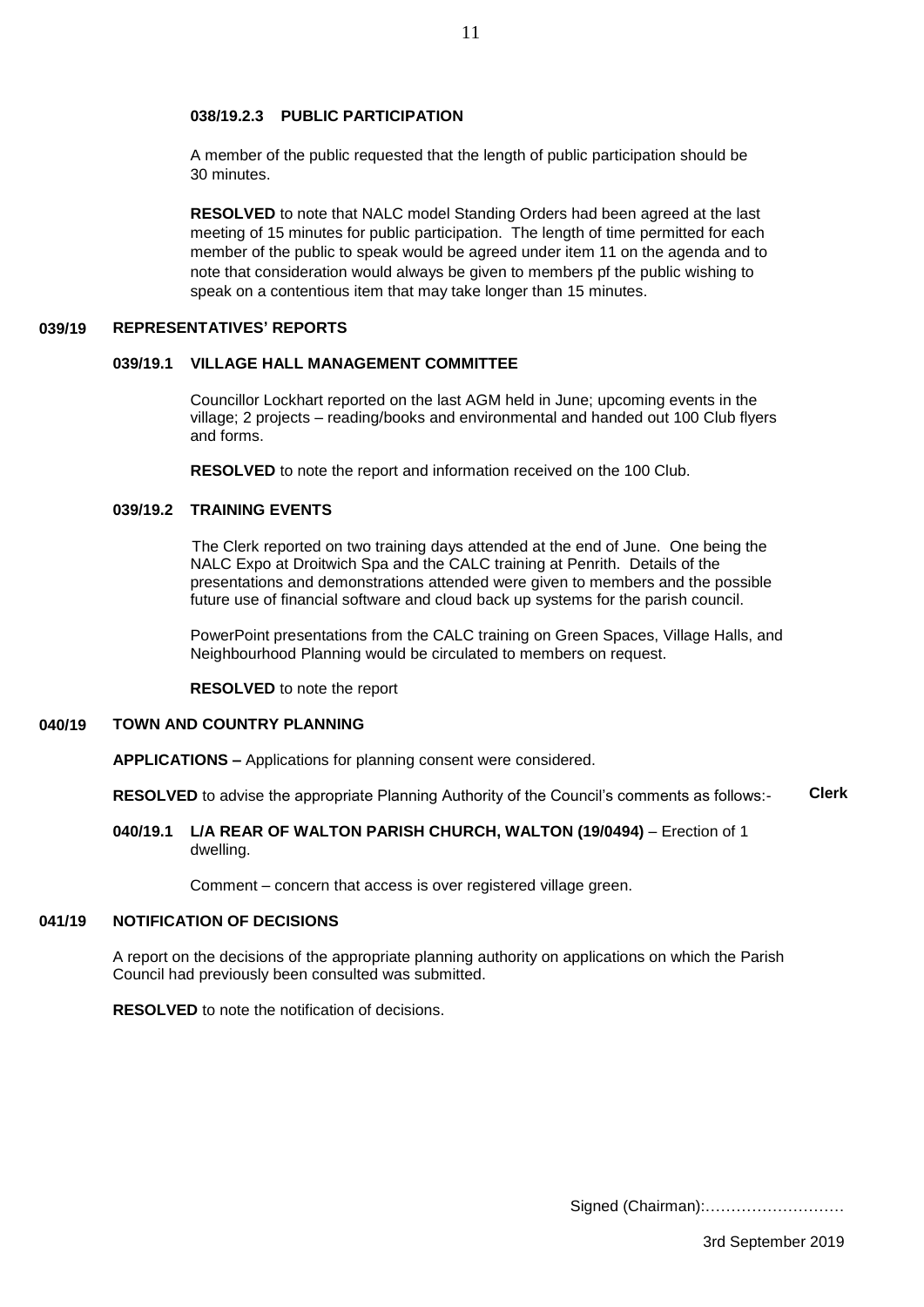# **038/19.2.3 PUBLIC PARTICIPATION**

A member of the public requested that the length of public participation should be 30 minutes.

11

 **RESOLVED** to note that NALC model Standing Orders had been agreed at the last meeting of 15 minutes for public participation. The length of time permitted for each member of the public to speak would be agreed under item 11 on the agenda and to note that consideration would always be given to members pf the public wishing to speak on a contentious item that may take longer than 15 minutes.

#### **039/19 REPRESENTATIVES' REPORTS**

### **039/19.1 VILLAGE HALL MANAGEMENT COMMITTEE**

 Councillor Lockhart reported on the last AGM held in June; upcoming events in the village; 2 projects – reading/books and environmental and handed out 100 Club flyers and forms.

**RESOLVED** to note the report and information received on the 100 Club.

### **039/19.2 TRAINING EVENTS**

 The Clerk reported on two training days attended at the end of June. One being the NALC Expo at Droitwich Spa and the CALC training at Penrith. Details of the presentations and demonstrations attended were given to members and the possible future use of financial software and cloud back up systems for the parish council.

 PowerPoint presentations from the CALC training on Green Spaces, Village Halls, and Neighbourhood Planning would be circulated to members on request.

 **RESOLVED** to note the report

#### **040/19 TOWN AND COUNTRY PLANNING**

**APPLICATIONS –** Applications for planning consent were considered.

**RESOLVED** to advise the appropriate Planning Authority of the Council's comments as follows:- **Clerk**

### **040/19.1 L/A REAR OF WALTON PARISH CHURCH, WALTON (19/0494)** – Erection of 1 dwelling.

Comment – concern that access is over registered village green.

#### **041/19 NOTIFICATION OF DECISIONS**

A report on the decisions of the appropriate planning authority on applications on which the Parish Council had previously been consulted was submitted.

**RESOLVED** to note the notification of decisions.

Signed (Chairman):………………………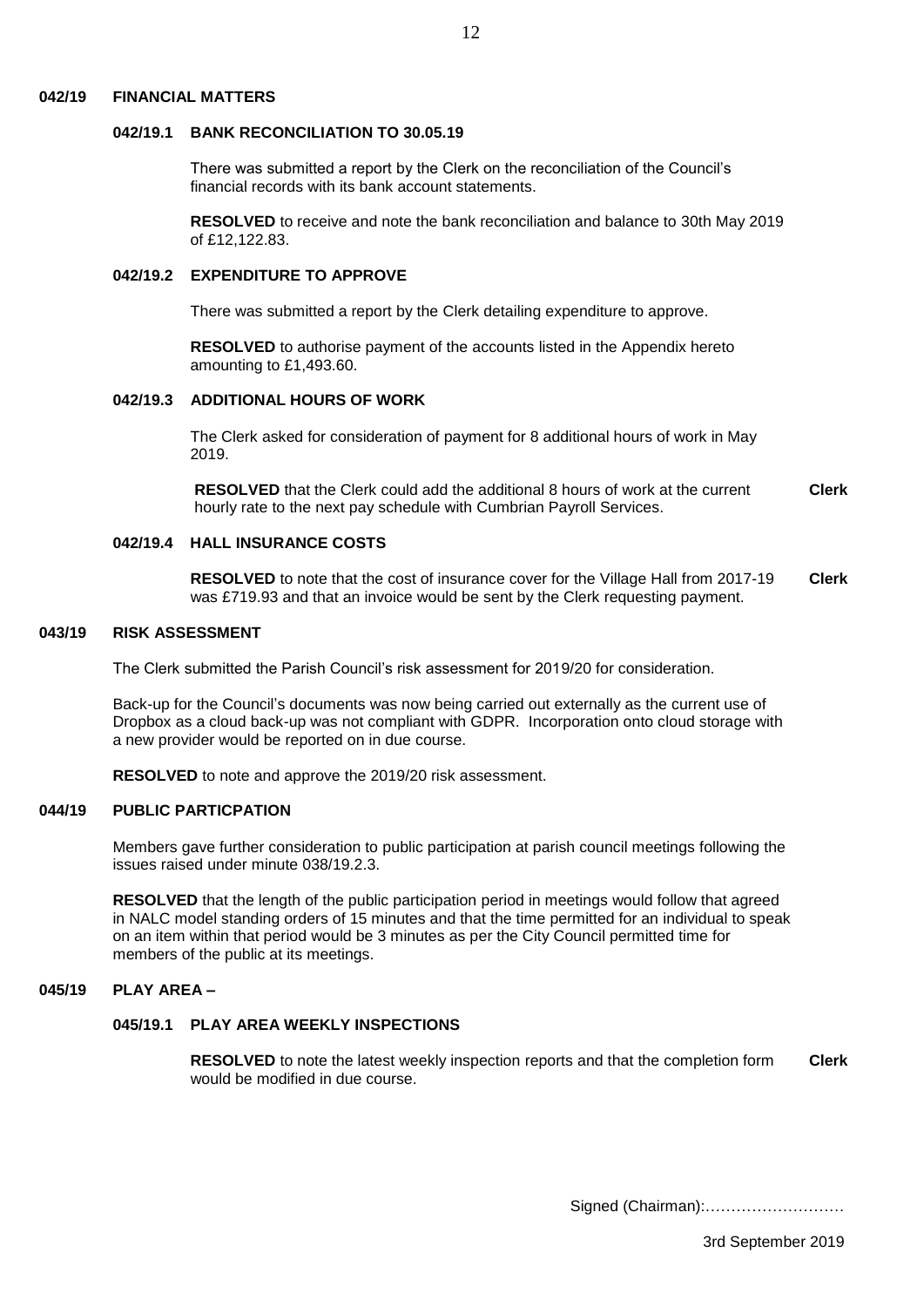#### **042/19 FINANCIAL MATTERS**

### **042/19.1 BANK RECONCILIATION TO 30.05.19**

 There was submitted a report by the Clerk on the reconciliation of the Council's financial records with its bank account statements.

 **RESOLVED** to receive and note the bank reconciliation and balance to 30th May 2019 of £12,122.83.

### **042/19.2 EXPENDITURE TO APPROVE**

There was submitted a report by the Clerk detailing expenditure to approve.

 **RESOLVED** to authorise payment of the accounts listed in the Appendix hereto amounting to £1,493.60.

### **042/19.3 ADDITIONAL HOURS OF WORK**

The Clerk asked for consideration of payment for 8 additional hours of work in May 2019.

 **RESOLVED** that the Clerk could add the additional 8 hours of work at the current hourly rate to the next pay schedule with Cumbrian Payroll Services. **Clerk**

# **042/19.4 HALL INSURANCE COSTS**

 **RESOLVED** to note that the cost of insurance cover for the Village Hall from 2017-19 was £719.93 and that an invoice would be sent by the Clerk requesting payment. **Clerk**

#### **043/19 RISK ASSESSMENT**

The Clerk submitted the Parish Council's risk assessment for 2019/20 for consideration.

Back-up for the Council's documents was now being carried out externally as the current use of Dropbox as a cloud back-up was not compliant with GDPR. Incorporation onto cloud storage with a new provider would be reported on in due course.

**RESOLVED** to note and approve the 2019/20 risk assessment.

#### **044/19 PUBLIC PARTICPATION**

Members gave further consideration to public participation at parish council meetings following the issues raised under minute 038/19.2.3.

**RESOLVED** that the length of the public participation period in meetings would follow that agreed in NALC model standing orders of 15 minutes and that the time permitted for an individual to speak on an item within that period would be 3 minutes as per the City Council permitted time for members of the public at its meetings.

#### **045/19 PLAY AREA –**

### **045/19.1 PLAY AREA WEEKLY INSPECTIONS**

 **RESOLVED** to note the latest weekly inspection reports and that the completion form would be modified in due course. **Clerk**

 $12$ 

Signed (Chairman):………………………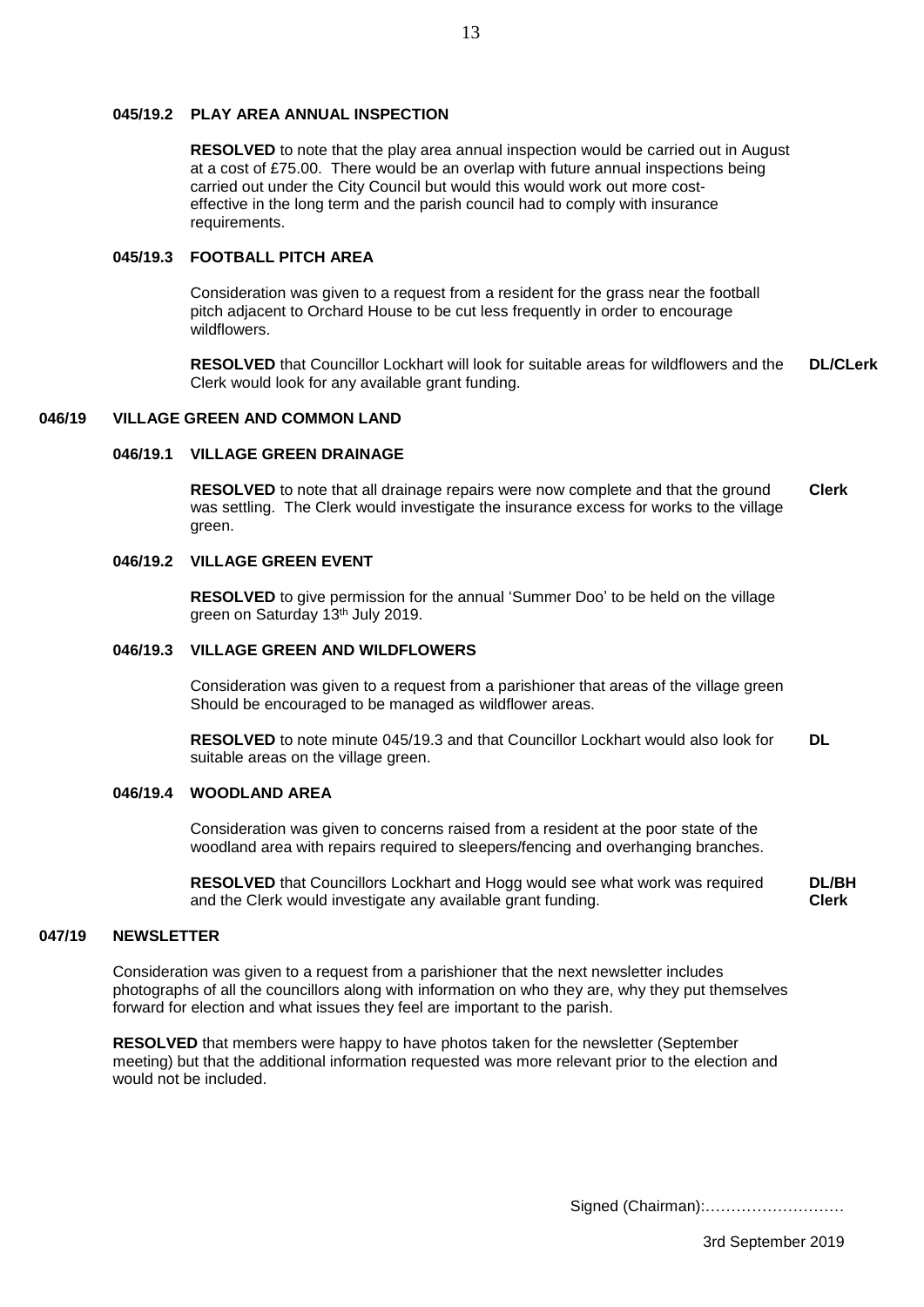# **045/19.2 PLAY AREA ANNUAL INSPECTION**

 **RESOLVED** to note that the play area annual inspection would be carried out in August at a cost of £75.00. There would be an overlap with future annual inspections being carried out under the City Council but would this would work out more cost effective in the long term and the parish council had to comply with insurance requirements.

### **045/19.3 FOOTBALL PITCH AREA**

Consideration was given to a request from a resident for the grass near the football pitch adjacent to Orchard House to be cut less frequently in order to encourage wildflowers.

 **RESOLVED** that Councillor Lockhart will look for suitable areas for wildflowers and the Clerk would look for any available grant funding. **DL/CLerk**

#### **046/19 VILLAGE GREEN AND COMMON LAND**

# **046/19.1 VILLAGE GREEN DRAINAGE**

**RESOLVED** to note that all drainage repairs were now complete and that the ground was settling. The Clerk would investigate the insurance excess for works to the village green. **Clerk**

### **046/19.2 VILLAGE GREEN EVENT**

 **RESOLVED** to give permission for the annual 'Summer Doo' to be held on the village green on Saturday 13th July 2019.

# **046/19.3 VILLAGE GREEN AND WILDFLOWERS**

Consideration was given to a request from a parishioner that areas of the village green Should be encouraged to be managed as wildflower areas.

 **RESOLVED** to note minute 045/19.3 and that Councillor Lockhart would also look for suitable areas on the village green. **DL**

### **046/19.4 WOODLAND AREA**

Consideration was given to concerns raised from a resident at the poor state of the woodland area with repairs required to sleepers/fencing and overhanging branches.

 **RESOLVED** that Councillors Lockhart and Hogg would see what work was required and the Clerk would investigate any available grant funding. **DL/BH Clerk**

#### **047/19 NEWSLETTER**

Consideration was given to a request from a parishioner that the next newsletter includes photographs of all the councillors along with information on who they are, why they put themselves forward for election and what issues they feel are important to the parish.

**RESOLVED** that members were happy to have photos taken for the newsletter (September meeting) but that the additional information requested was more relevant prior to the election and would not be included.

Signed (Chairman):………………………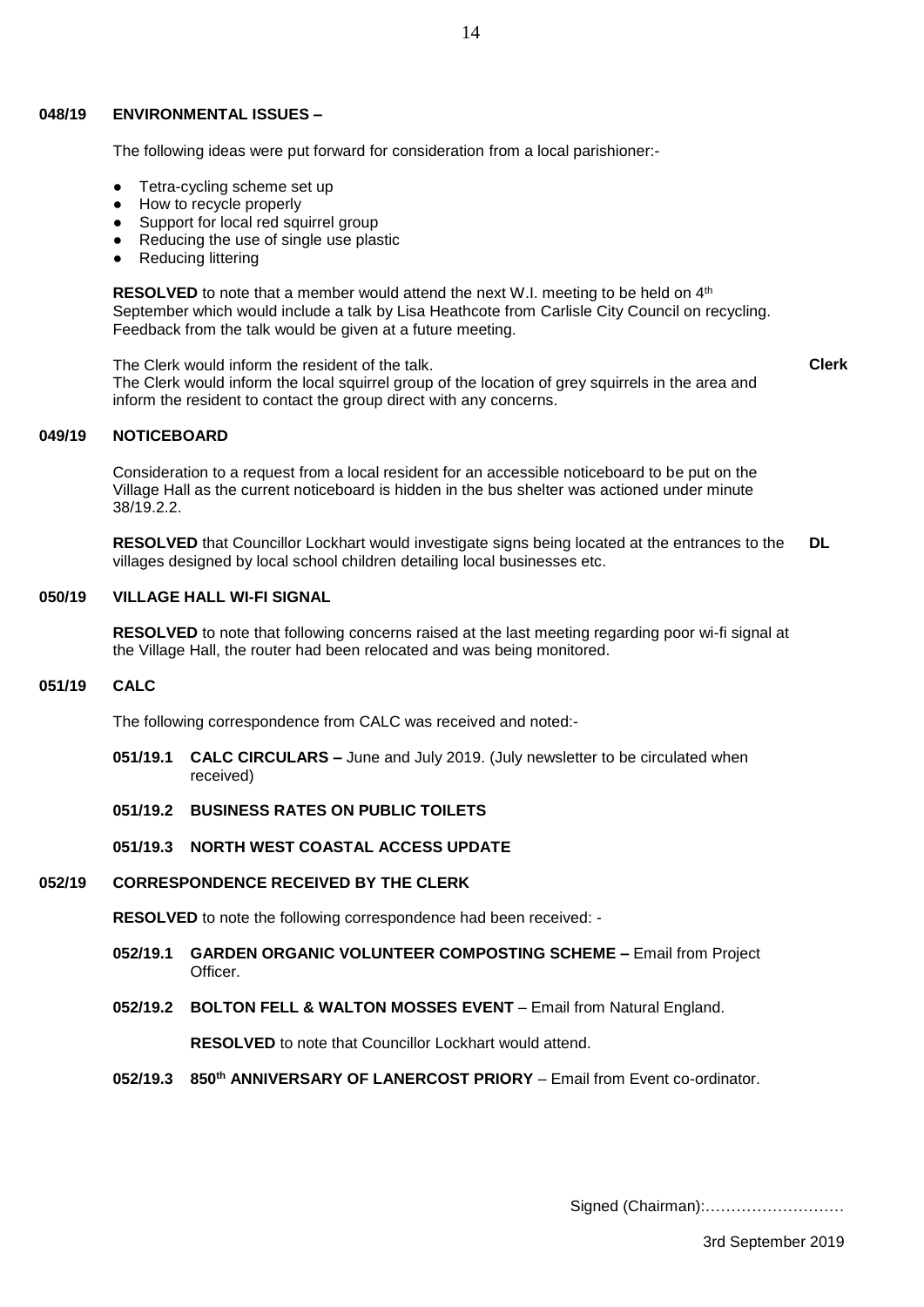#### **048/19 ENVIRONMENTAL ISSUES –**

The following ideas were put forward for consideration from a local parishioner:-

- Tetra-cycling scheme set up
- How to recycle properly
- Support for local red squirrel group
- Reducing the use of single use plastic
- **Reducing littering**

**RESOLVED** to note that a member would attend the next W.I. meeting to be held on 4<sup>th</sup> September which would include a talk by Lisa Heathcote from Carlisle City Council on recycling. Feedback from the talk would be given at a future meeting.

The Clerk would inform the resident of the talk. The Clerk would inform the local squirrel group of the location of grey squirrels in the area and inform the resident to contact the group direct with any concerns. **Clerk**

#### **049/19 NOTICEBOARD**

Consideration to a request from a local resident for an accessible noticeboard to be put on the Village Hall as the current noticeboard is hidden in the bus shelter was actioned under minute 38/19.2.2.

**RESOLVED** that Councillor Lockhart would investigate signs being located at the entrances to the villages designed by local school children detailing local businesses etc. **DL**

#### **050/19 VILLAGE HALL WI-FI SIGNAL**

**RESOLVED** to note that following concerns raised at the last meeting regarding poor wi-fi signal at the Village Hall, the router had been relocated and was being monitored.

#### **051/19 CALC**

The following correspondence from CALC was received and noted:-

- **051/19.1 CALC CIRCULARS –** June and July 2019. (July newsletter to be circulated when received)
- **051/19.2 BUSINESS RATES ON PUBLIC TOILETS**

# **051/19.3 NORTH WEST COASTAL ACCESS UPDATE**

#### **052/19 CORRESPONDENCE RECEIVED BY THE CLERK**

**RESOLVED** to note the following correspondence had been received: -

- **052/19.1 GARDEN ORGANIC VOLUNTEER COMPOSTING SCHEME –** Email from Project Officer.
- **052/19.2 BOLTON FELL & WALTON MOSSES EVENT** Email from Natural England.

**RESOLVED** to note that Councillor Lockhart would attend.

**052/19.3 850th ANNIVERSARY OF LANERCOST PRIORY** – Email from Event co-ordinator.

Signed (Chairman):………………………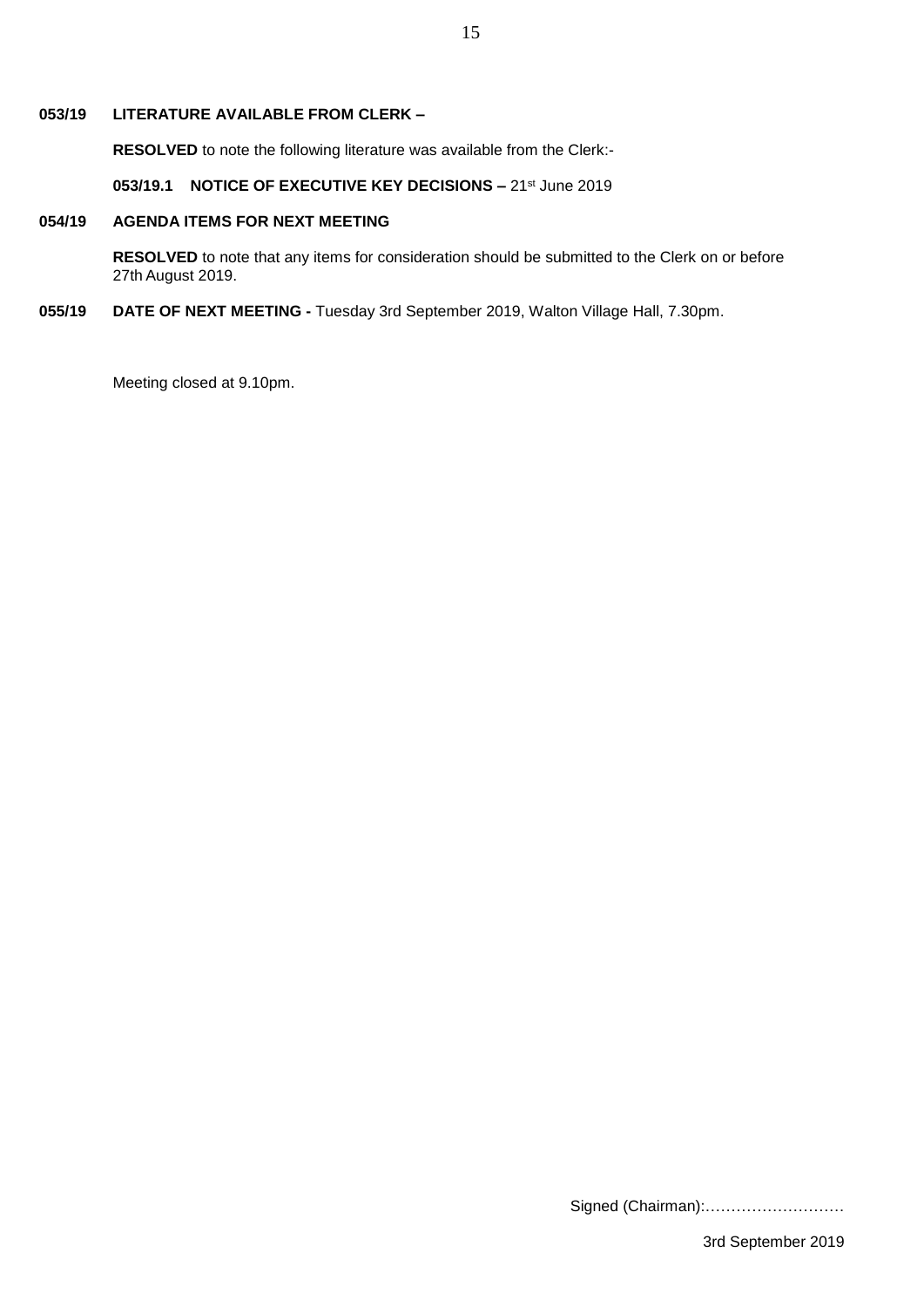#### **053/19 LITERATURE AVAILABLE FROM CLERK –**

**RESOLVED** to note the following literature was available from the Clerk:-

**053/19.1 NOTICE OF EXECUTIVE KEY DECISIONS –** 21st June 2019

#### **054/19 AGENDA ITEMS FOR NEXT MEETING**

**RESOLVED** to note that any items for consideration should be submitted to the Clerk on or before 27th August 2019.

#### **055/19 DATE OF NEXT MEETING -** Tuesday 3rd September 2019, Walton Village Hall, 7.30pm.

Meeting closed at 9.10pm.